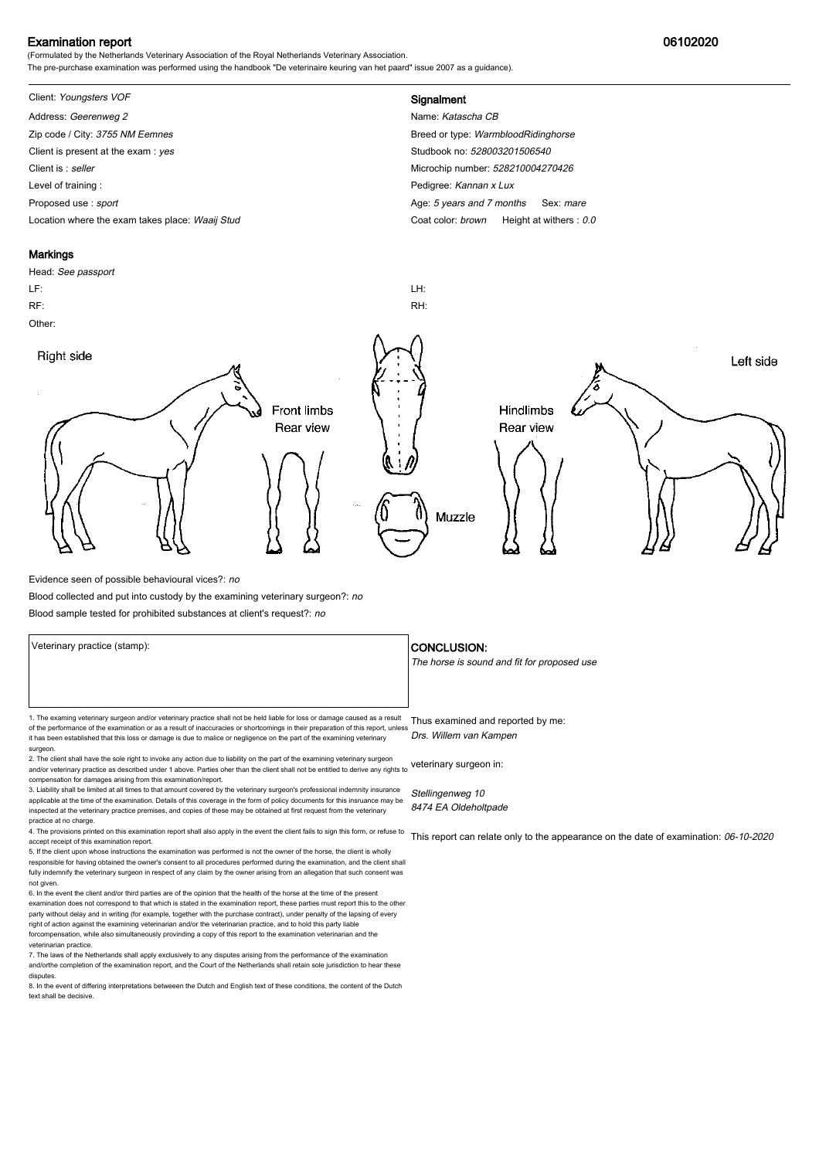### Examination report 06102020

(Formulated by the Netherlands Veterinary Association of the Royal Netherlands Veterinary Association. The pre-purchase examination was performed using the handbook "De veterinaire keuring van het paard" issue 2007 as a guidance).

## Client: Youngsters VOF **Signalment**

Address: Geerenweg 2 Name: Katascha CB Zip code / City: 3755 NM Eemnes Breed or type: WarmbloodRidinghorse Breed or type: WarmbloodRidinghorse Client is present at the exam : yes Studbook no: 528003201506540 Client is : seller Microchip number: 528210004270426 Level of training : **Example 2** Level of training : **Pedigree:** Kannan x Lux Proposed use : sport **Age: 5 years and 7 months Sex: mare** Age: 5 years and 7 months Sex: mare

Location where the exam takes place: Waaij Stud Coat Color: brown Height at withers : 0.0



Evidence seen of possible behavioural vices?: no

Blood collected and put into custody by the examining veterinary surgeon?: no

Blood sample tested for prohibited substances at client's request?: no

Veterinary practice (stamp):  $\overline{\phantom{a}}$  CONCLUSION: The horse is sound and fit for proposed use 1. The examing veterinary surgeon and/or veterinary practice shall not be held liable for loss or damage caused as a result Thus examined and reported by me: of the performance of the examination or as a result of inaccuracies or shortcomings in their preparation of this report, unless it has been established that this loss or damage is due to malice or negligence on the part of the examining veterinary surgeon. 2. The client shall have the sole right to invoke any action due to liability on the part of the examining veterinary surgeon and/or veterinary practice as described under 1 above. Parties oher than the client shall not be entitled to derive any rights to veterinary surgeon in: compensation for damages arising from this examination/report. Drs. Willem van Kampen

3. Liability shall be limited at all times to that amount covered by the veterinary surgeon's professional indemnity insurance applicable at the time of the examination. Details of this coverage in the form of policy documents for this insruance may be inspected at the veterinary practice premises, and copies of these may be obtained at first request from the veterinary practice at no charge.

4. The provisions printed on this examination report shall also apply in the event the client fails to sign this form, or refuse to accept receipt of this examination report.

5. If the client upon whose instructions the examination was performed is not the owner of the horse, the client is wholly responsible for having obtained the owner's consent to all procedures performed during the examination, and the client shall fully indemnify the veterinary surgeon in respect of any claim by the owner arising from an allegation that such consent was not given.

6. In the event the client and/or third parties are of the opinion that the health of the horse at the time of the present examination does not correspond to that which is stated in the examination report, these parties must report this to the other party without delay and in writing (for example, together with the purchase contract), under penalty of the lapsing of every<br>right of action against the examining veterinarian and/or the veterinarian practice, and to hold forcompensation, while also simultaneously provinding a copy of this report to the examination veterinarian and th veterinarian practice.

7. The laws of the Netherlands shall apply exclusively to any disputes arising from the performance of the examination and/orthe completion of the examination report, and the Court of the Netherlands shall retain sole jurisdiction to hear these disputes.

8. In the event of differing interpretations betweeen the Dutch and English text of these conditions, the content of the Dutch text shall be decisive.

Stellingenweg 10 8474 EA Oldeholtpade

This report can relate only to the appearance on the date of examination: 06-10-2020